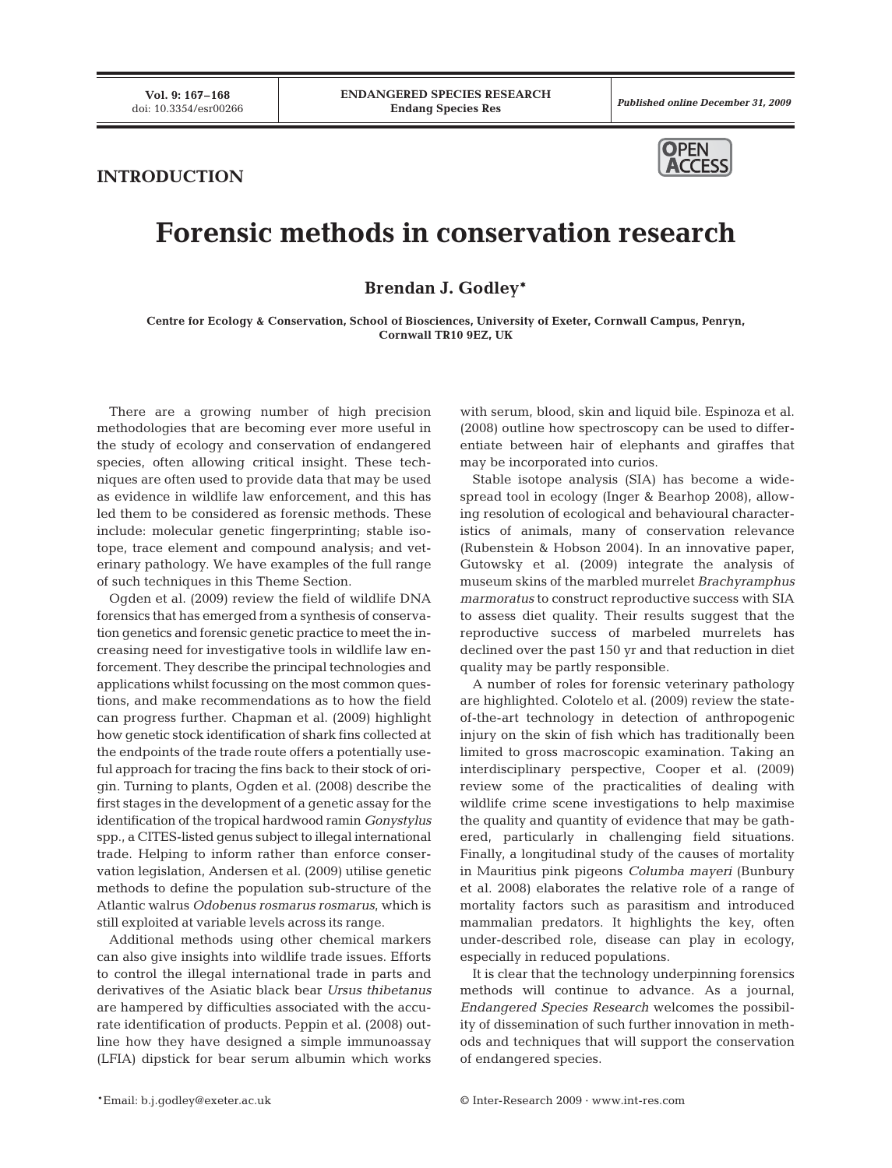Published online December 31, 2009

## **INTRODUCTION**



## **Forensic methods in conservation research**

**Brendan J. Godley\***

**Centre for Ecology & Conservation, School of Biosciences, University of Exeter, Cornwall Campus, Penryn, Cornwall TR10 9EZ, UK**

There are a growing number of high precision methodologies that are becoming ever more useful in the study of ecology and conservation of endangered species, often allowing critical insight. These techniques are often used to provide data that may be used as evidence in wildlife law enforcement, and this has led them to be considered as forensic methods. These include: molecular genetic fingerprinting; stable isotope, trace element and compound analysis; and veterinary pathology. We have examples of the full range of such techniques in this Theme Section.

Ogden et al. (2009) review the field of wildlife DNA forensics that has emerged from a synthesis of conservation genetics and forensic genetic practice to meet the increasing need for investigative tools in wildlife law enforcement. They describe the principal technologies and applications whilst focussing on the most common questions, and make recommendations as to how the field can progress further. Chapman et al. (2009) highlight how genetic stock identification of shark fins collected at the endpoints of the trade route offers a potentially useful approach for tracing the fins back to their stock of origin. Turning to plants, Ogden et al. (2008) describe the first stages in the development of a genetic assay for the identification of the tropical hardwood ramin *Gonystylus* spp., a CITES-listed genus subject to illegal international trade. Helping to inform rather than enforce conservation legislation, Andersen et al. (2009) utilise genetic methods to define the population sub-structure of the Atlantic walrus *Odobenus rosmarus rosmarus*, which is still exploited at variable levels across its range.

Additional methods using other chemical markers can also give insights into wildlife trade issues. Efforts to control the illegal international trade in parts and derivatives of the Asiatic black bear *Ursus thibetanus* are hampered by difficulties associated with the accurate identification of products. Peppin et al. (2008) outline how they have designed a simple immunoassay (LFIA) dipstick for bear serum albumin which works

with serum, blood, skin and liquid bile. Espinoza et al. (2008) outline how spectroscopy can be used to differentiate between hair of elephants and giraffes that may be incorporated into curios.

Stable isotope analysis (SIA) has become a widespread tool in ecology (Inger & Bearhop 2008), allowing resolution of ecological and behavioural characteristics of animals, many of conservation relevance (Rubenstein & Hobson 2004). In an innovative paper, Gutowsky et al. (2009) integrate the analysis of museum skins of the marbled murrelet *Brachyramphus marmoratus* to construct reproductive success with SIA to assess diet quality. Their results suggest that the reproductive success of marbeled murrelets has declined over the past 150 yr and that reduction in diet quality may be partly responsible.

A number of roles for forensic veterinary pathology are highlighted. Colotelo et al. (2009) review the stateof-the-art technology in detection of anthropogenic injury on the skin of fish which has traditionally been limited to gross macroscopic examination. Taking an interdisciplinary perspective, Cooper et al. (2009) review some of the practicalities of dealing with wildlife crime scene investigations to help maximise the quality and quantity of evidence that may be gathered, particularly in challenging field situations. Finally, a longitudinal study of the causes of mortality in Mauritius pink pigeons *Columba mayeri* (Bunbury et al. 2008) elaborates the relative role of a range of mortality factors such as parasitism and introduced mammalian predators. It highlights the key, often under-described role, disease can play in ecology, especially in reduced populations.

It is clear that the technology underpinning forensics methods will continue to advance. As a journal, *Endangered Species Research* welcomes the possibility of dissemination of such further innovation in methods and techniques that will support the conservation of endangered species.